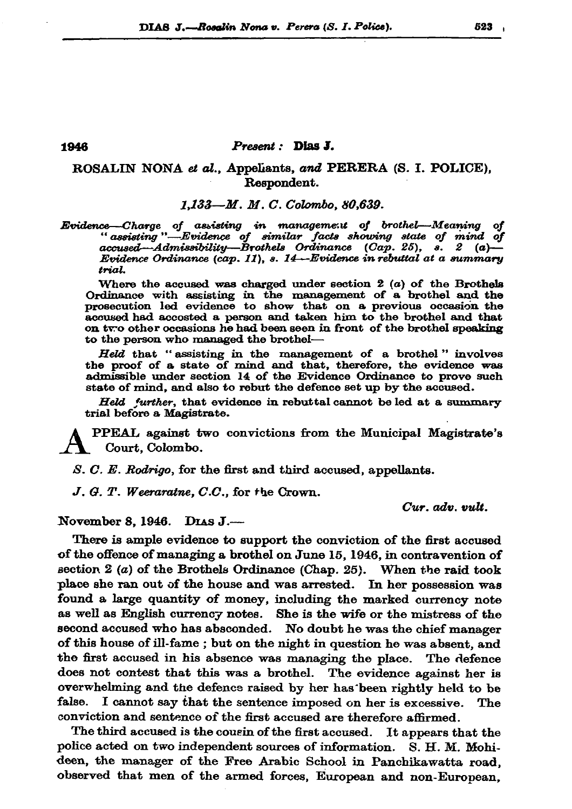## 1946

## Present : Dias J.

## ROSALIN NONA et al., Appeliants, and PERERA (S. I. POLICE), Respondent.

1.133-M. M. C. Colombo. 80,639.

Evidence—Charge of assisting in management of brothel—Meaning of<br>assisting —Evidence of similar facts showing state of mind of "assisting —Evidence of similar facts showing state of mind of accused—Admissibility—Brothels O Evidence Ordinance (cap. 11), s. 14—Evidence in rebuttal at a summary trial.

Where the accused was charged under section  $2(a)$  of the Brothels Ordinance with assisting in the management of a brothel and the prosecution led evidence to show that on a previous occasion the accused had accosted a person and taken him to the brothel and that on two other occasions he had been seen in front of the brothel speaking to the person who managed the brothel-

Held that "assisting in the management of a brothel" involves the proof of a state of mind and that, therefore, the evidence was admissible under section 14 of the Evidence Ordinance to prove such state of mind, and also to rebut the defence set up by the accused.

Held further, that evidence in rebuttal cannot be led at a summary trial before a Magistrate.

**PPEAL** against two convictions from the Municipal Magistrate's Court, Colombo.

S. C. E. Rodrigo, for the first and third accused, appellants.

J. G. T. Weeraratne, C.C., for the Crown.

 $Cur.$   $adv.$   $vult.$ 

November 8, 1946. DIAS J.-

There is ample evidence to support the conviction of the first accused of the offence of managing a brothel on June 15, 1946, in contravention of section  $2(a)$  of the Brothels Ordinance (Chap. 25). When the raid took place she ran out of the house and was arrested. In her possession was found a large quantity of money, including the marked currency note as well as English currency notes. She is the wife or the mistress of the second accused who has absconded. No doubt he was the chief manager of this house of ill-fame ; but on the night in question he was absent, and the first accused in his absence was managing the place. The defence does not contest that this was a brothel. The evidence against her is overwhelming and the defence raised by her has been rightly held to be false. I cannot say that the sentence imposed on her is excessive. The conviction and sentence of the first accused are therefore affirmed.

The third accused is the cousin of the first accused. It appears that the police acted on two independent sources of information. S. H. M. Mohideen, the manager of the Free Arabic School in Panchikawatta road. observed that men of the armed forces, European and non-European,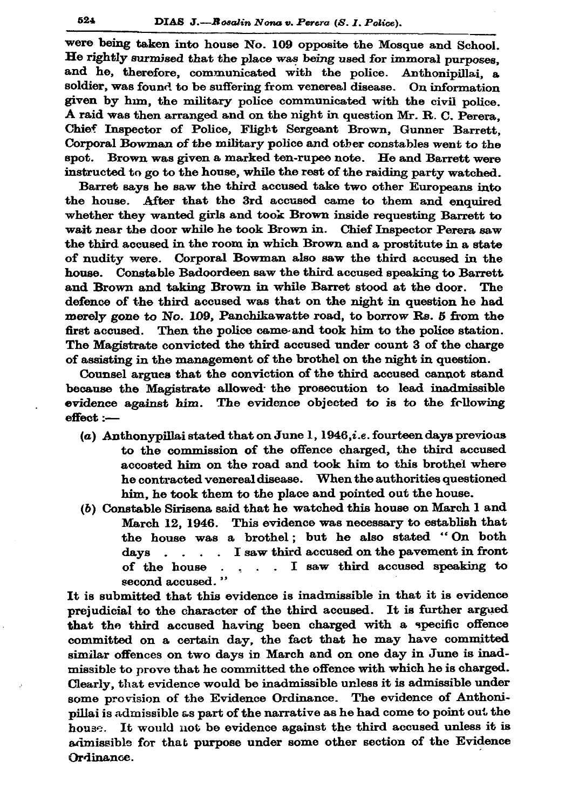were being taken into house No. 109 opposite the Mosque and School. He rightly surmised that the place was being used for immoral purposes. and he, therefore, communicated with the police. Anthonipillai, a soldier, was found to be suffering from venereal disease. On information given by him, the military police communicated with the civil police. A raid was then arranged and on the night in question Mr. R. C. Perera. Chief Inspector of Police, Flight Sergeant Brown, Gunner Barrett, Corporal Bowman of the military police and other constables went to the spot. Brown was given a marked ten-rupee note. He and Barrett were instructed to go to the house, while the rest of the raiding party watched.

Barret savs he saw the third accused take two other Europeans into the house. After that the 3rd accused came to them and enquired whether they wanted girls and took Brown inside requesting Barrett to wait near the door while he took Brown in. Chief Inspector Perera saw the third accused in the room in which Brown and a prostitute in a state of nudity were. Corporal Bowman also saw the third accused in the house. Constable Badoordeen saw the third accused speaking to Barrett and Brown and taking Brown in while Barret stood at the door. The defence of the third accused was that on the night in question he had merely gone to No. 109, Panchikawatte road, to borrow Rs. 5 from the first accused. Then the police came and took him to the police station. The Magistrate convicted the third accused under count 3 of the charge of assisting in the management of the brothel on the night in question.

Counsel argues that the conviction of the third accused cannot stand because the Magistrate allowed the prosecution to lead inadmissible evidence against him. The evidence objected to is to the following effect :-

- (a) Anthonypillai stated that on June 1, 1946, *i.e.* fourteen days previous to the commission of the offence charged, the third accused accosted him on the road and took him to this brothel where he contracted venereal disease. When the authorities questioned him, he took them to the place and pointed out the house.
- (b) Constable Sirisena said that he watched this house on March 1 and March 12, 1946. This evidence was necessary to establish that the house was a brothel; but he also stated "On both days  $\ldots$   $\ldots$  I saw third accused on the pavement in front . . . . I saw third accused speaking to of the house second accused."

It is submitted that this evidence is inadmissible in that it is evidence prejudicial to the character of the third accused. It is further argued that the third accused having been charged with a specific offence committed on a certain day, the fact that he may have committed similar offences on two days in March and on one day in June is inadmissible to prove that he committed the offence with which he is charged. Clearly, that evidence would be inadmissible unless it is admissible under some provision of the Evidence Ordinance. The evidence of Anthonipillai is admissible as part of the narrative as he had come to point out the house. It would not be evidence against the third accused unless it is admissible for that purpose under some other section of the Evidence Ordinance.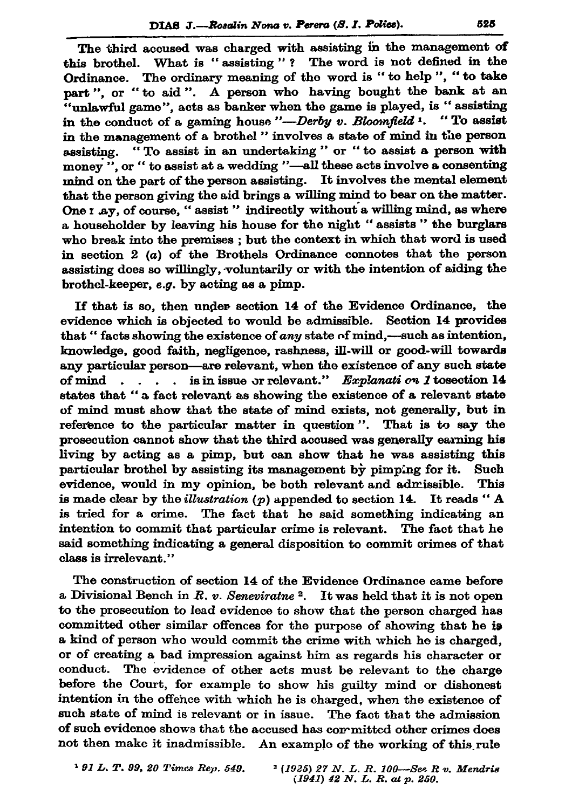The third accused was charged with assisting in the management of this brothel. What is "assisting"? The word is not defined in the Ordinance. The ordinary meaning of the word is "to help", "to take part", or "to aid". A person who having bought the bank at an "unlawful game", acts as banker when the game is played, is "assisting in the conduct of a gaming house "-Derby v. Bloomfield 1. "To assist in the management of a brothel " involves a state of mind in the person assisting. "To assist in an undertaking" or "to assist a person with money ", or " to assist at a wedding "-all these acts involve a consenting mind on the part of the person assisting. It involves the mental element that the person giving the aid brings a willing mind to bear on the matter. One I ay, of course, "assist" indirectly without a willing mind, as where a householder by leaving his house for the night "assists" the burglars who break into the premises; but the context in which that word is used in section  $2(a)$  of the Brothels Ordinance connotes that the person assisting does so willingly, voluntarily or with the intention of aiding the brothel-keeper, e.g. by acting as a pimp.

If that is so, then under section 14 of the Evidence Ordinance, the evidence which is objected to would be admissible. Section 14 provides that "facts showing the existence of any state of mind,—such as intention, knowledge, good faith, negligence, rashness, ill-will or good-will towards any particular person-are relevant, when the existence of any such state of mind  $\ldots$ , is in issue or relevant." Explanati on 1 tosection 14 states that " a fact relevant as showing the existence of a relevant state of mind must show that the state of mind exists, not generally, but in reference to the particular matter in question". That is to say the prosecution cannot show that the third accused was generally earning his living by acting as a pimp, but can show that he was assisting this particular brothel by assisting its management by pimping for it. Such evidence, would in my opinion, be both relevant and admissible. This is made clear by the *illustration* ( $p$ ) appended to section 14. It reads "A is tried for a crime. The fact that he said something indicating an intention to commit that particular crime is relevant. The fact that he said something indicating a general disposition to commit crimes of that class is irrelevant."

The construction of section 14 of the Evidence Ordinance came before a Divisional Bench in R. v. Seneviratue<sup>2</sup>. It was held that it is not open to the prosecution to lead evidence to show that the person charged has committed other similar offences for the purpose of showing that he is a kind of person who would commit the crime with which he is charged, or of creating a bad impression against him as regards his character or conduct. The evidence of other acts must be relevant to the charge before the Court, for example to show his guilty mind or dishonest intention in the offence with which he is charged, when the existence of such state of mind is relevant or in issue. The fact that the admission of such evidence shows that the accused has committed other crimes does not then make it inadmissible. An example of the working of this rule